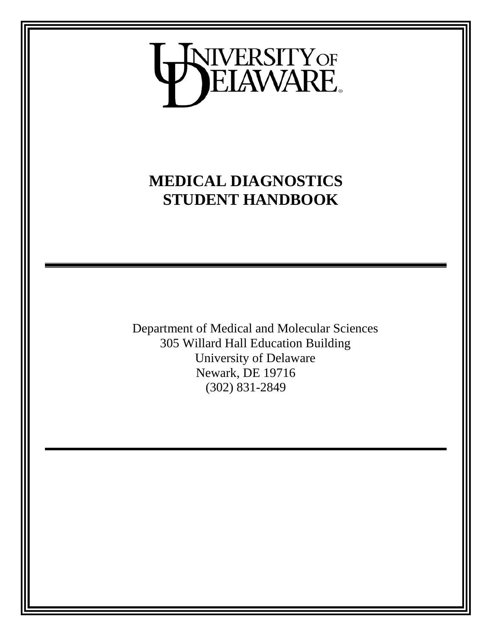

## **MEDICAL DIAGNOSTICS STUDENT HANDBOOK**

Department of Medical and Molecular Sciences 305 Willard Hall Education Building University of Delaware Newark, DE 19716 (302) 831-2849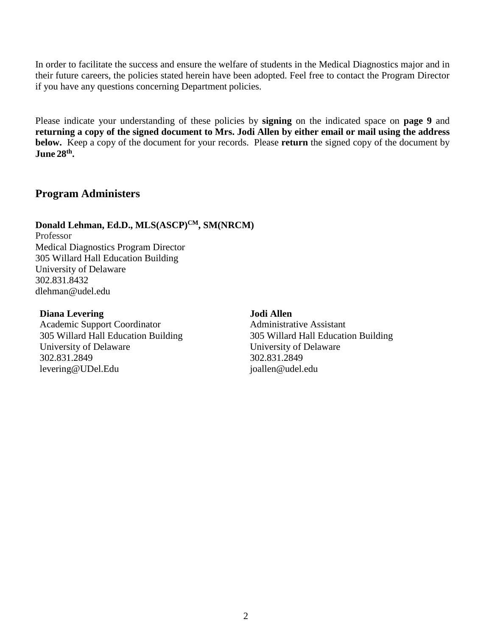In order to facilitate the success and ensure the welfare of students in the Medical Diagnostics major and in their future careers, the policies stated herein have been adopted. Feel free to contact the Program Director if you have any questions concerning Department policies.

Please indicate your understanding of these policies by **signing** on the indicated space on **page 9** and **returning a copy of the signed document to Mrs. Jodi Allen by either email or mail using the address below.** Keep a copy of the document for your records. Please **return** the signed copy of the document by **June 28th.**

## **Program Administers**

#### Donald Lehman, Ed.D., MLS(ASCP)<sup>CM</sup>, SM(NRCM) Professor Medical Diagnostics Program Director

305 Willard Hall Education Building University of Delaware 302.831.8432 dlehman@udel.edu

#### **Diana Levering**

Academic Support Coordinator 305 Willard Hall Education Building University of Delaware 302.831.2849 levering@UDel.Edu

#### **Jodi Allen**

Administrative Assistant 305 Willard Hall Education Building University of Delaware 302.831.2849 joallen@udel.edu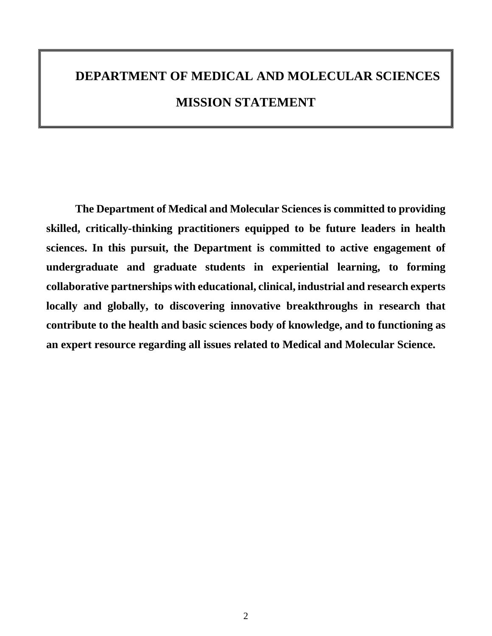# **DEPARTMENT OF MEDICAL AND MOLECULAR SCIENCES MISSION STATEMENT**

**The Department of Medical and Molecular Sciences is committed to providing skilled, critically-thinking practitioners equipped to be future leaders in health sciences. In this pursuit, the Department is committed to active engagement of undergraduate and graduate students in experiential learning, to forming collaborative partnerships with educational, clinical, industrial and research experts locally and globally, to discovering innovative breakthroughs in research that contribute to the health and basic sciences body of knowledge, and to functioning as an expert resource regarding all issues related to Medical and Molecular Science.**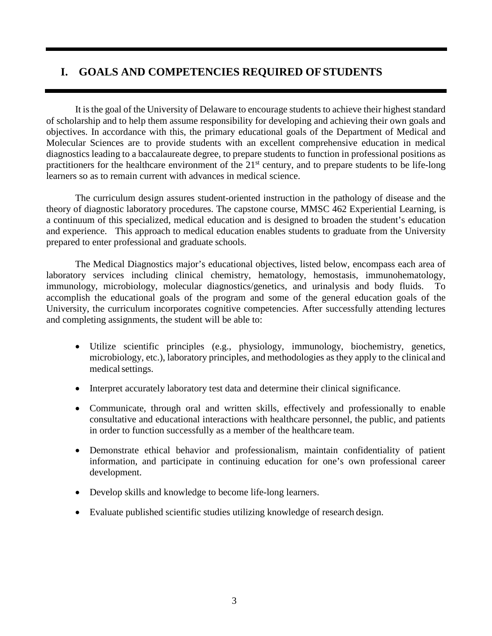## **I. GOALS AND COMPETENCIES REQUIRED OFSTUDENTS**

It is the goal of the University of Delaware to encourage students to achieve their highest standard of scholarship and to help them assume responsibility for developing and achieving their own goals and objectives. In accordance with this, the primary educational goals of the Department of Medical and Molecular Sciences are to provide students with an excellent comprehensive education in medical diagnostics leading to a baccalaureate degree, to prepare students to function in professional positions as practitioners for the healthcare environment of the  $21<sup>st</sup>$  century, and to prepare students to be life-long learners so as to remain current with advances in medical science.

The curriculum design assures student-oriented instruction in the pathology of disease and the theory of diagnostic laboratory procedures. The capstone course, MMSC 462 Experiential Learning, is a continuum of this specialized, medical education and is designed to broaden the student's education and experience. This approach to medical education enables students to graduate from the University prepared to enter professional and graduate schools.

The Medical Diagnostics major's educational objectives, listed below, encompass each area of laboratory services including clinical chemistry, hematology, hemostasis, immunohematology, immunology, microbiology, molecular diagnostics/genetics, and urinalysis and body fluids. To accomplish the educational goals of the program and some of the general education goals of the University, the curriculum incorporates cognitive competencies. After successfully attending lectures and completing assignments, the student will be able to:

- Utilize scientific principles (e.g., physiology, immunology, biochemistry, genetics, microbiology, etc.), laboratory principles, and methodologies as they apply to the clinical and medical settings.
- Interpret accurately laboratory test data and determine their clinical significance.
- Communicate, through oral and written skills, effectively and professionally to enable consultative and educational interactions with healthcare personnel, the public, and patients in order to function successfully as a member of the healthcare team.
- Demonstrate ethical behavior and professionalism, maintain confidentiality of patient information, and participate in continuing education for one's own professional career development.
- Develop skills and knowledge to become life-long learners.
- Evaluate published scientific studies utilizing knowledge of research design.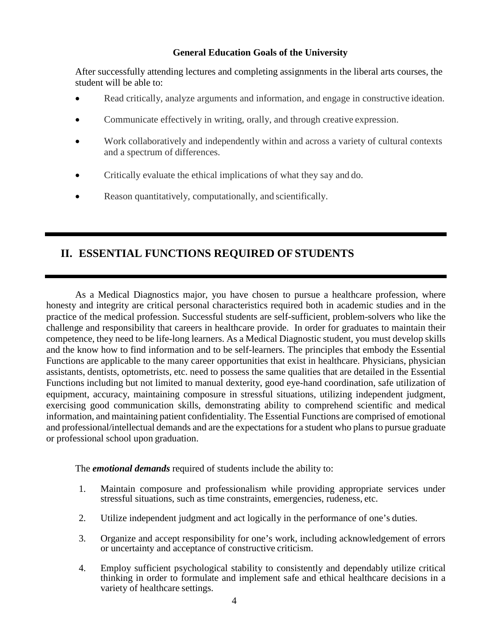#### **General Education Goals of the University**

After successfully attending lectures and completing assignments in the liberal arts courses, the student will be able to:

- Read critically, analyze arguments and information, and engage in constructive ideation.
- Communicate effectively in writing, orally, and through creative expression.
- Work collaboratively and independently within and across a variety of cultural contexts and a spectrum of differences.
- Critically evaluate the ethical implications of what they say and do.
- Reason quantitatively, computationally, and scientifically.

## **II. ESSENTIAL FUNCTIONS REQUIRED OF STUDENTS**

As a Medical Diagnostics major, you have chosen to pursue a healthcare profession, where honesty and integrity are critical personal characteristics required both in academic studies and in the practice of the medical profession. Successful students are self-sufficient, problem-solvers who like the challenge and responsibility that careers in healthcare provide. In order for graduates to maintain their competence, they need to be life-long learners. As a Medical Diagnostic student, you must develop skills and the know how to find information and to be self-learners. The principles that embody the Essential Functions are applicable to the many career opportunities that exist in healthcare. Physicians, physician assistants, dentists, optometrists, etc. need to possess the same qualities that are detailed in the Essential Functions including but not limited to manual dexterity, good eye-hand coordination, safe utilization of equipment, accuracy, maintaining composure in stressful situations, utilizing independent judgment, exercising good communication skills, demonstrating ability to comprehend scientific and medical information, and maintaining patient confidentiality. The Essential Functions are comprised of emotional and professional/intellectual demands and are the expectations for a student who plans to pursue graduate or professional school upon graduation.

The *emotional demands* required of students include the ability to:

- 1. Maintain composure and professionalism while providing appropriate services under stressful situations, such as time constraints, emergencies, rudeness, etc.
- 2. Utilize independent judgment and act logically in the performance of one's duties.
- 3. Organize and accept responsibility for one's work, including acknowledgement of errors or uncertainty and acceptance of constructive criticism.
- 4. Employ sufficient psychological stability to consistently and dependably utilize critical thinking in order to formulate and implement safe and ethical healthcare decisions in a variety of healthcare settings.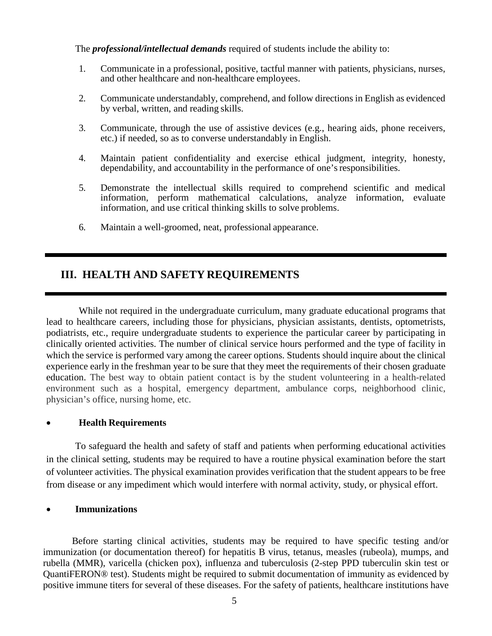The *professional/intellectual demands* required of students include the ability to:

- 1. Communicate in a professional, positive, tactful manner with patients, physicians, nurses, and other healthcare and non-healthcare employees.
- 2. Communicate understandably, comprehend, and follow directions in English as evidenced by verbal, written, and reading skills.
- 3. Communicate, through the use of assistive devices (e.g., hearing aids, phone receivers, etc.) if needed, so as to converse understandably in English.
- 4. Maintain patient confidentiality and exercise ethical judgment, integrity, honesty, dependability, and accountability in the performance of one's responsibilities.
- 5. Demonstrate the intellectual skills required to comprehend scientific and medical information, perform mathematical calculations, analyze information, evaluate information, and use critical thinking skills to solve problems.
- 6. Maintain a well-groomed, neat, professional appearance.

## **III. HEALTH AND SAFETY REQUIREMENTS**

While not required in the undergraduate curriculum, many graduate educational programs that lead to healthcare careers, including those for physicians, physician assistants, dentists, optometrists, podiatrists, etc., require undergraduate students to experience the particular career by participating in clinically oriented activities. The number of clinical service hours performed and the type of facility in which the service is performed vary among the career options. Students should inquire about the clinical experience early in the freshman year to be sure that they meet the requirements of their chosen graduate education. The best way to obtain patient contact is by the student volunteering in a health-related environment such as a hospital, emergency department, ambulance corps, neighborhood clinic, physician's office, nursing home, etc.

#### • **Health Requirements**

To safeguard the health and safety of staff and patients when performing educational activities in the clinical setting, students may be required to have a routine physical examination before the start of volunteer activities. The physical examination provides verification that the student appears to be free from disease or any impediment which would interfere with normal activity, study, or physical effort.

#### • **Immunizations**

Before starting clinical activities, students may be required to have specific testing and/or immunization (or documentation thereof) for hepatitis B virus, tetanus, measles (rubeola), mumps, and rubella (MMR), varicella (chicken pox), influenza and tuberculosis (2-step PPD tuberculin skin test or QuantiFERON® test). Students might be required to submit documentation of immunity as evidenced by positive immune titers for several of these diseases. For the safety of patients, healthcare institutions have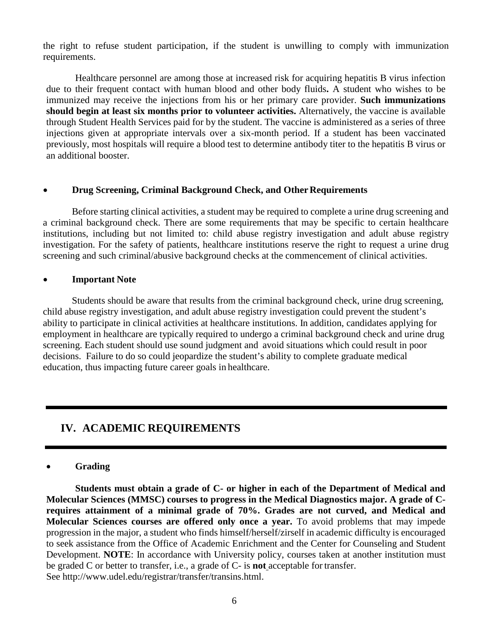the right to refuse student participation, if the student is unwilling to comply with immunization requirements.

Healthcare personnel are among those at increased risk for acquiring hepatitis B virus infection due to their frequent contact with human blood and other body fluids**.** A student who wishes to be immunized may receive the injections from his or her primary care provider. **Such immunizations should begin at least six months prior to volunteer activities.** Alternatively, the vaccine is available through Student Health Services paid for by the student. The vaccine is administered as a series of three injections given at appropriate intervals over a six-month period. If a student has been vaccinated previously, most hospitals will require a blood test to determine antibody titer to the hepatitis B virus or an additional booster.

#### • **Drug Screening, Criminal Background Check, and Other Requirements**

Before starting clinical activities, a student may be required to complete a urine drug screening and a criminal background check. There are some requirements that may be specific to certain healthcare institutions, including but not limited to: child abuse registry investigation and adult abuse registry investigation. For the safety of patients, healthcare institutions reserve the right to request a urine drug screening and such criminal/abusive background checks at the commencement of clinical activities.

#### • **Important Note**

Students should be aware that results from the criminal background check, urine drug screening, child abuse registry investigation, and adult abuse registry investigation could prevent the student's ability to participate in clinical activities at healthcare institutions. In addition, candidates applying for employment in healthcare are typically required to undergo a criminal background check and urine drug screening. Each student should use sound judgment and avoid situations which could result in poor decisions. Failure to do so could jeopardize the student's ability to complete graduate medical education, thus impacting future career goals in healthcare.

## **IV. ACADEMIC REQUIREMENTS**

#### • **Grading**

**Students must obtain a grade of C- or higher in each of the Department of Medical and Molecular Sciences (MMSC) courses to progress in the Medical Diagnostics major. A grade of Crequires attainment of a minimal grade of 70%. Grades are not curved, and Medical and Molecular Sciences courses are offered only once a year.** To avoid problems that may impede progression in the major, a student who finds himself/herself/zirself in academic difficulty is encouraged to seek assistance from the Office of Academic Enrichment and the Center for Counseling and Student Development. **NOTE**: In accordance with University policy, courses taken at another institution must be graded C or better to transfer, i.e., a grade of C- is **not** acceptable for transfer. See http://www.udel.edu/registrar/transfer/transins.html.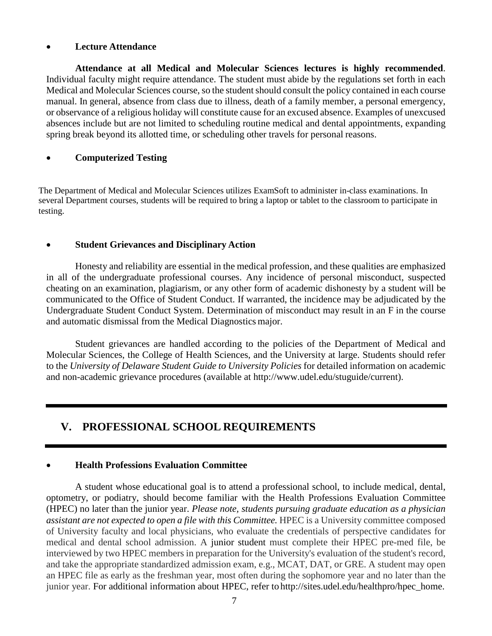#### • **Lecture Attendance**

**Attendance at all Medical and Molecular Sciences lectures is highly recommended**. Individual faculty might require attendance. The student must abide by the regulations set forth in each Medical and Molecular Sciences course, so the student should consult the policy contained in each course manual. In general, absence from class due to illness, death of a family member, a personal emergency, or observance of a religious holiday will constitute cause for an excused absence. Examples of unexcused absences include but are not limited to scheduling routine medical and dental appointments, expanding spring break beyond its allotted time, or scheduling other travels for personal reasons.

#### • **Computerized Testing**

The Department of Medical and Molecular Sciences utilizes ExamSoft to administer in-class examinations. In several Department courses, students will be required to bring a laptop or tablet to the classroom to participate in testing.

#### • **Student Grievances and Disciplinary Action**

Honesty and reliability are essential in the medical profession, and these qualities are emphasized in all of the undergraduate professional courses. Any incidence of personal misconduct, suspected cheating on an examination, plagiarism, or any other form of academic dishonesty by a student will be communicated to the Office of Student Conduct. If warranted, the incidence may be adjudicated by the Undergraduate Student Conduct System. Determination of misconduct may result in an F in the course and automatic dismissal from the Medical Diagnostics major.

Student grievances are handled according to the policies of the Department of Medical and Molecular Sciences, the College of Health Sciences, and the University at large. Students should refer to the *University of Delaware Student Guide to University Policies* for detailed information on academic and non-academic grievance procedures (available at http://www.udel.edu/stuguide/current).

## **V. PROFESSIONAL SCHOOL REQUIREMENTS**

#### • **Health Professions Evaluation Committee**

A student whose educational goal is to attend a professional school, to include medical, dental, optometry, or podiatry, should become familiar with the Health Professions Evaluation Committee (HPEC) no later than the junior year. *Please note, students pursuing graduate education as a physician assistant are not expected to open a file with this Committee.* HPEC is a University committee composed of University faculty and local physicians, who evaluate the credentials of perspective candidates for medical and dental school admission. A junior student must complete their HPEC pre-med file, be interviewed by two HPEC members in preparation for the University's evaluation of the student's record, and take the appropriate standardized admission exam, e.g., MCAT, DAT, or GRE. A student may open an HPEC file as early as the freshman year, most often during the sophomore year and no later than the junior year. For additional information about HPEC, refer to http://sites.udel.edu/healthpro/hpec\_home.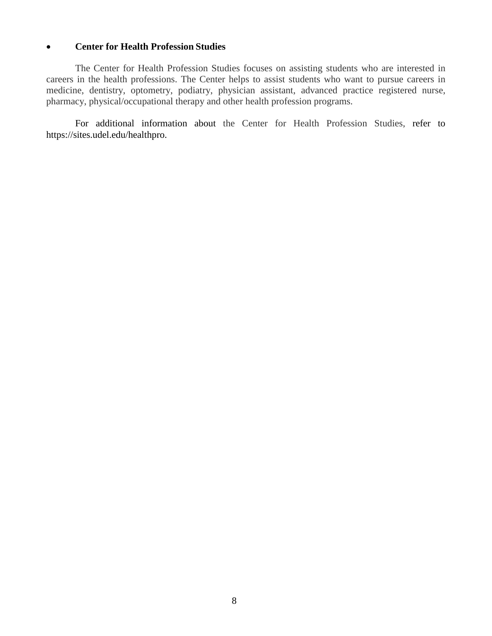#### • **Center for Health Profession Studies**

The Center for Health Profession Studies focuses on assisting students who are interested in careers in the health professions. The Center helps to assist students who want to pursue careers in medicine, dentistry, optometry, podiatry, physician assistant, advanced practice registered nurse, pharmacy, physical/occupational therapy and other health profession programs.

For additional information about the Center for Health Profession Studies, refer to https://sites.udel.edu/healthpro.